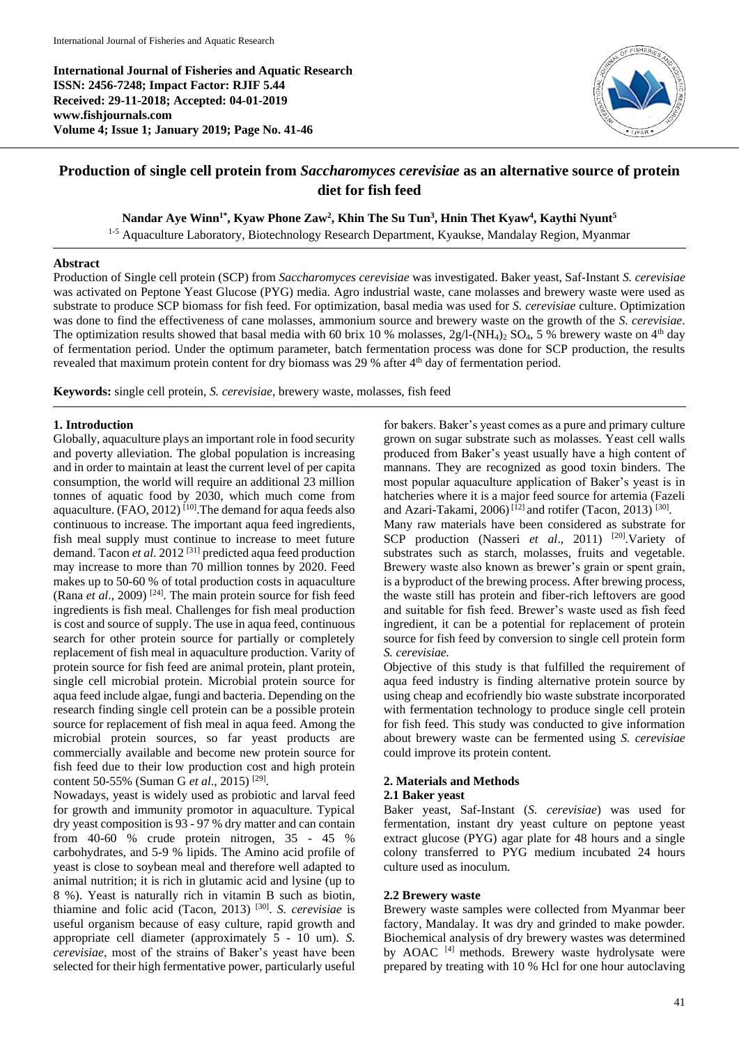**International Journal of Fisheries and Aquatic Research ISSN: 2456-7248; Impact Factor: RJIF 5.44 Received: 29-11-2018; Accepted: 04-01-2019 www.fishjournals.com Volume 4; Issue 1; January 2019; Page No. 41-46**



# **Production of single cell protein from** *Saccharomyces cerevisiae* **as an alternative source of protein diet for fish feed**

**Nandar Aye Winn1\* , Kyaw Phone Zaw<sup>2</sup> , Khin The Su Tun<sup>3</sup> , Hnin Thet Kyaw<sup>4</sup> , Kaythi Nyunt<sup>5</sup>**

<sup>1-5</sup> Aquaculture Laboratory, Biotechnology Research Department, Kyaukse, Mandalay Region, Myanmar

### **Abstract**

Production of Single cell protein (SCP) from *Saccharomyces cerevisiae* was investigated. Baker yeast, Saf-Instant *S. cerevisiae* was activated on Peptone Yeast Glucose (PYG) media. Agro industrial waste, cane molasses and brewery waste were used as substrate to produce SCP biomass for fish feed. For optimization, basal media was used for *S. cerevisiae* culture. Optimization was done to find the effectiveness of cane molasses, ammonium source and brewery waste on the growth of the *S. cerevisiae*. The optimization results showed that basal media with 60 brix 10 % molasses, 2g/l-(NH<sub>4)2</sub> SO<sub>4</sub>, 5 % brewery waste on 4<sup>th</sup> day of fermentation period. Under the optimum parameter, batch fermentation process was done for SCP production, the results revealed that maximum protein content for dry biomass was 29 % after 4<sup>th</sup> day of fermentation period.

**Keywords:** single cell protein, *S. cerevisiae,* brewery waste, molasses, fish feed

### **1. Introduction**

Globally, aquaculture plays an important role in food security and poverty alleviation. The global population is increasing and in order to maintain at least the current level of per capita consumption, the world will require an additional 23 million tonnes of aquatic food by 2030, which much come from aquaculture.  $(FAO, 2012)$ <sup>[10]</sup>. The demand for aqua feeds also continuous to increase. The important aqua feed ingredients, fish meal supply must continue to increase to meet future demand. Tacon *et al*. 2012 [31] predicted aqua feed production may increase to more than 70 million tonnes by 2020. Feed makes up to 50-60 % of total production costs in aquaculture (Rana *et al*., 2009) [24]. The main protein source for fish feed ingredients is fish meal. Challenges for fish meal production is cost and source of supply. The use in aqua feed, continuous search for other protein source for partially or completely replacement of fish meal in aquaculture production. Varity of protein source for fish feed are animal protein, plant protein, single cell microbial protein. Microbial protein source for aqua feed include algae, fungi and bacteria. Depending on the research finding single cell protein can be a possible protein source for replacement of fish meal in aqua feed. Among the microbial protein sources, so far yeast products are commercially available and become new protein source for fish feed due to their low production cost and high protein content 50-55% (Suman G *et al*., 2015) [29] .

Nowadays, yeast is widely used as probiotic and larval feed for growth and immunity promotor in aquaculture. Typical dry yeast composition is 93 - 97 % dry matter and can contain from 40-60 % crude protein nitrogen, 35 - 45 % carbohydrates, and 5-9 % lipids. The Amino acid profile of yeast is close to soybean meal and therefore well adapted to animal nutrition; it is rich in glutamic acid and lysine (up to 8 %). Yeast is naturally rich in vitamin B such as biotin, thiamine and folic acid (Tacon, 2013) [30] . *S. cerevisiae* is useful organism because of easy culture, rapid growth and appropriate cell diameter (approximately 5 - 10 um). *S. cerevisiae*, most of the strains of Baker's yeast have been selected for their high fermentative power, particularly useful

for bakers. Baker's yeast comes as a pure and primary culture grown on sugar substrate such as molasses. Yeast cell walls produced from Baker's yeast usually have a high content of mannans. They are recognized as good toxin binders. The most popular aquaculture application of Baker's yeast is in hatcheries where it is a major feed source for artemia (Fazeli and Azari-Takami, 2006)<sup>[12]</sup> and rotifer (Tacon, 2013)<sup>[30]</sup>.

Many raw materials have been considered as substrate for SCP production (Nasseri *et al*., 2011) [20].Variety of substrates such as starch, molasses, fruits and vegetable. Brewery waste also known as brewer's grain or spent grain, is a byproduct of the brewing process. After brewing process, the waste still has protein and fiber-rich leftovers are good and suitable for fish feed. Brewer's waste used as fish feed ingredient, it can be a potential for replacement of protein source for fish feed by conversion to single cell protein form *S. cerevisiae.*

Objective of this study is that fulfilled the requirement of aqua feed industry is finding alternative protein source by using cheap and ecofriendly bio waste substrate incorporated with fermentation technology to produce single cell protein for fish feed. This study was conducted to give information about brewery waste can be fermented using *S. cerevisiae* could improve its protein content.

### **2. Materials and Methods**

### **2.1 Baker yeast**

Baker yeast, Saf-Instant (*S. cerevisiae*) was used for fermentation, instant dry yeast culture on peptone yeast extract glucose (PYG) agar plate for 48 hours and a single colony transferred to PYG medium incubated 24 hours culture used as inoculum.

### **2.2 Brewery waste**

Brewery waste samples were collected from Myanmar beer factory, Mandalay. It was dry and grinded to make powder. Biochemical analysis of dry brewery wastes was determined by AOAC<sup>[4]</sup> methods. Brewery waste hydrolysate were prepared by treating with 10 % Hcl for one hour autoclaving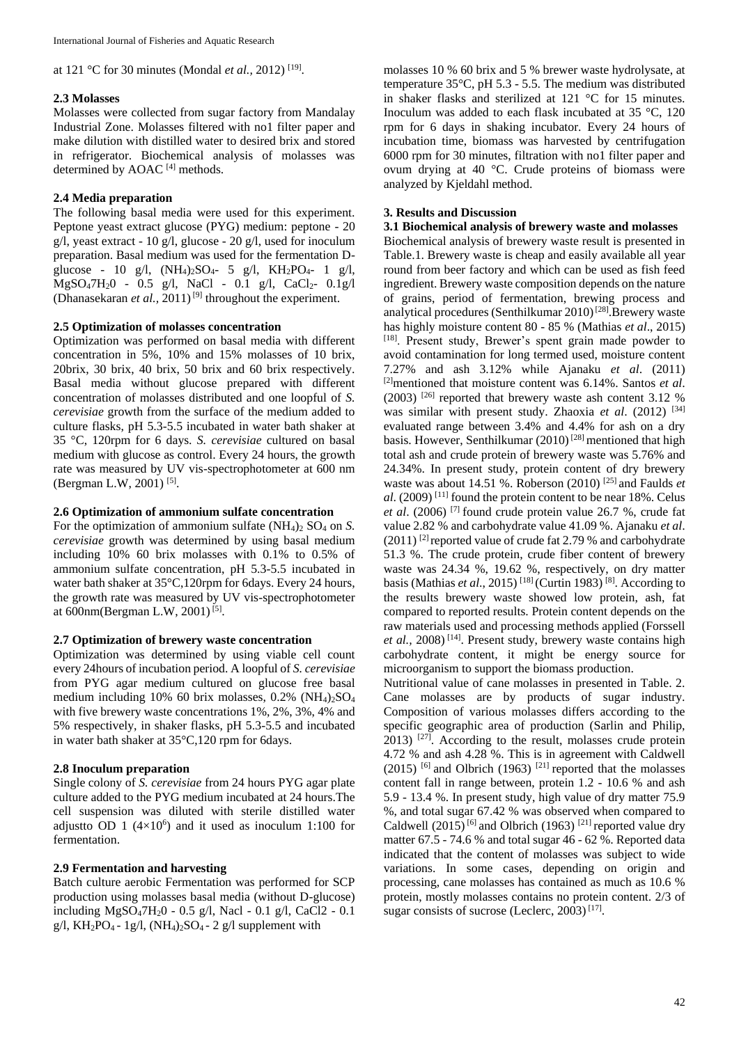at 121 °C for 30 minutes (Mondal *et al.*, 2012)<sup>[19]</sup>.

### **2.3 Molasses**

Molasses were collected from sugar factory from Mandalay Industrial Zone. Molasses filtered with no1 filter paper and make dilution with distilled water to desired brix and stored in refrigerator. Biochemical analysis of molasses was determined by AOAC<sup>[4]</sup> methods.

# **2.4 Media preparation**

The following basal media were used for this experiment. Peptone yeast extract glucose (PYG) medium: peptone - 20 g/l, yeast extract - 10 g/l, glucose - 20 g/l, used for inoculum preparation. Basal medium was used for the fermentation Dglucose - 10 g/l,  $(NH_4)_2SO_4$ - 5 g/l,  $KH_2PO_4$ - 1 g/l,  $MgSO_47H_2O - 0.5$  g/l, NaCl - 0.1 g/l, CaCl<sub>2</sub>- 0.1g/l (Dhanasekaran *et al.*, 2011)<sup>[9]</sup> throughout the experiment.

### **2.5 Optimization of molasses concentration**

Optimization was performed on basal media with different concentration in 5%, 10% and 15% molasses of 10 brix, 20brix, 30 brix, 40 brix, 50 brix and 60 brix respectively. Basal media without glucose prepared with different concentration of molasses distributed and one loopful of *S. cerevisiae* growth from the surface of the medium added to culture flasks, pH 5.3-5.5 incubated in water bath shaker at 35 °C, 120rpm for 6 days. *S. cerevisiae* cultured on basal medium with glucose as control. Every 24 hours, the growth rate was measured by UV vis-spectrophotometer at 600 nm (Bergman L.W, 2001)<sup>[5]</sup>.

### **2.6 Optimization of ammonium sulfate concentration**

For the optimization of ammonium sulfate (NH<sub>4</sub>)<sub>2</sub> SO<sub>4</sub> on *S*. *cerevisiae* growth was determined by using basal medium including 10% 60 brix molasses with 0.1% to 0.5% of ammonium sulfate concentration, pH 5.3-5.5 incubated in water bath shaker at 35°C,120rpm for 6days. Every 24 hours, the growth rate was measured by UV vis-spectrophotometer at 600nm(Bergman L.W, 2001)<sup>[5]</sup>.

### **2.7 Optimization of brewery waste concentration**

Optimization was determined by using viable cell count every 24hours of incubation period. A loopful of *S. cerevisiae* from PYG agar medium cultured on glucose free basal medium including 10% 60 brix molasses, 0.2% (NH4)2SO<sup>4</sup> with five brewery waste concentrations 1%, 2%, 3%, 4% and 5% respectively, in shaker flasks, pH 5.3-5.5 and incubated in water bath shaker at 35°C,120 rpm for 6days.

# **2.8 Inoculum preparation**

Single colony of *S. cerevisiae* from 24 hours PYG agar plate culture added to the PYG medium incubated at 24 hours.The cell suspension was diluted with sterile distilled water adjustto OD 1  $(4\times10^6)$  and it used as inoculum 1:100 for fermentation.

# **2.9 Fermentation and harvesting**

Batch culture aerobic Fermentation was performed for SCP production using molasses basal media (without D-glucose) including MgSO47H20 - 0.5 g/l, Nacl - 0.1 g/l, CaCl2 - 0.1 g/l, KH<sub>2</sub>PO<sub>4</sub> - 1g/l, (NH<sub>4</sub>)<sub>2</sub>SO<sub>4</sub> - 2 g/l supplement with

molasses 10 % 60 brix and 5 % brewer waste hydrolysate, at temperature 35°C, pH 5.3 - 5.5. The medium was distributed in shaker flasks and sterilized at 121 °C for 15 minutes. Inoculum was added to each flask incubated at 35 °C, 120 rpm for 6 days in shaking incubator. Every 24 hours of incubation time, biomass was harvested by centrifugation 6000 rpm for 30 minutes, filtration with no1 filter paper and ovum drying at 40 °C. Crude proteins of biomass were analyzed by Kjeldahl method.

### **3. Results and Discussion**

### **3.1 Biochemical analysis of brewery waste and molasses**

Biochemical analysis of brewery waste result is presented in Table.1. Brewery waste is cheap and easily available all year round from beer factory and which can be used as fish feed ingredient. Brewery waste composition depends on the nature of grains, period of fermentation, brewing process and analytical procedures (Senthilkumar  $2010$ <sup>[28]</sup>. Brewery waste has highly moisture content 80 - 85 % (Mathias *et al*., 2015) [18]. Present study, Brewer's spent grain made powder to avoid contamination for long termed used, moisture content 7.27% and ash 3.12% while Ajanaku *et al*. (2011) [2]mentioned that moisture content was 6.14%. Santos *et al*.  $(2003)$  <sup>[26]</sup> reported that brewery waste ash content 3.12 % was similar with present study. Zhaoxia et al. (2012) <sup>[34]</sup> evaluated range between 3.4% and 4.4% for ash on a dry basis. However, Senthilkumar  $(2010)^{[28]}$  mentioned that high total ash and crude protein of brewery waste was 5.76% and 24.34%. In present study, protein content of dry brewery waste was about 14.51 %. Roberson (2010) [25] and Faulds *et al*. (2009) [11] found the protein content to be near 18%. Celus *et al*. (2006) [7] found crude protein value 26.7 %, crude fat value 2.82 % and carbohydrate value 41.09 %. Ajanaku *et al*.  $(2011)^{2}$  reported value of crude fat 2.79 % and carbohydrate 51.3 %. The crude protein, crude fiber content of brewery waste was 24.34 %, 19.62 %, respectively, on dry matter basis (Mathias *et al*., 2015) [18] (Curtin 1983) [8]. According to the results brewery waste showed low protein, ash, fat compared to reported results. Protein content depends on the raw materials used and processing methods applied (Forssell et al., 2008)<sup>[14]</sup>. Present study, brewery waste contains high carbohydrate content, it might be energy source for microorganism to support the biomass production.

Nutritional value of cane molasses in presented in Table. 2. Cane molasses are by products of sugar industry. Composition of various molasses differs according to the specific geographic area of production (Sarlin and Philip,  $2013$ ) <sup>[27]</sup>. According to the result, molasses crude protein 4.72 % and ash 4.28 %. This is in agreement with Caldwell (2015) <sup>[6]</sup> and Olbrich (1963)<sup>[21]</sup> reported that the molasses content fall in range between, protein 1.2 - 10.6 % and ash 5.9 - 13.4 %. In present study, high value of dry matter 75.9 %, and total sugar 67.42 % was observed when compared to Caldwell (2015)<sup>[6]</sup> and Olbrich (1963)<sup>[21]</sup> reported value dry matter 67.5 - 74.6 % and total sugar 46 - 62 %. Reported data indicated that the content of molasses was subject to wide variations. In some cases, depending on origin and processing, cane molasses has contained as much as 10.6 % protein, mostly molasses contains no protein content. 2/3 of sugar consists of sucrose (Leclerc, 2003)<sup>[17]</sup>.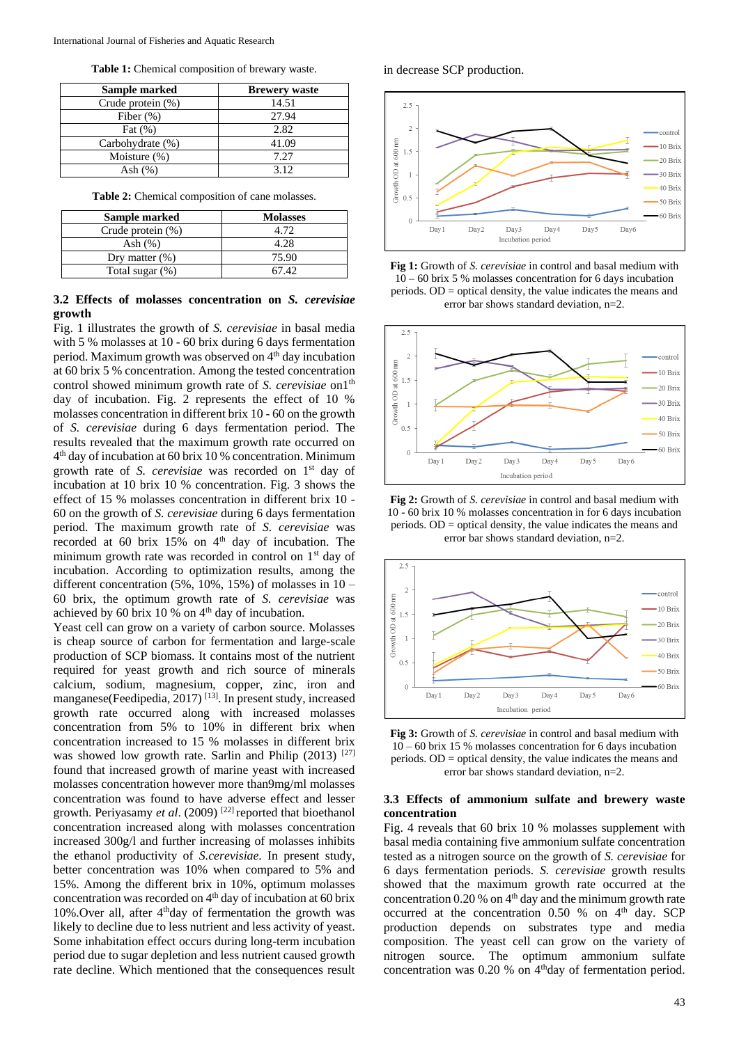**Table 1:** Chemical composition of brewary waste.

| Sample marked        | <b>Brewery waste</b> |
|----------------------|----------------------|
| Crude protein $(\%)$ | 14.51                |
| Fiber $(\%)$         | 27.94                |
| Fat $(\%)$           | 2.82                 |
| Carbohydrate (%)     | 41.09                |
| Moisture $(\%)$      | 7.27                 |
| Ash (%)              | 3.12                 |

**Table 2:** Chemical composition of cane molasses.

| Sample marked        | <b>Molasses</b> |
|----------------------|-----------------|
| Crude protein $(\%)$ | 4.72            |
| Ash (%)              | 4.28            |
| Dry matter $(\%)$    | 75.90           |
| Total sugar $(\%)$   |                 |

#### **3.2 Effects of molasses concentration on** *S. cerevisiae* **growth**

Fig. 1 illustrates the growth of *S. cerevisiae* in basal media with 5 % molasses at 10 - 60 brix during 6 days fermentation period. Maximum growth was observed on 4<sup>th</sup> day incubation at 60 brix 5 % concentration. Among the tested concentration control showed minimum growth rate of *S. cerevisiae* on1<sup>th</sup> day of incubation. Fig. 2 represents the effect of 10 % molasses concentration in different brix 10 - 60 on the growth of *S. cerevisiae* during 6 days fermentation period. The results revealed that the maximum growth rate occurred on 4 th day of incubation at 60 brix 10 % concentration. Minimum growth rate of *S. cerevisiae* was recorded on 1st day of incubation at 10 brix 10 % concentration. Fig. 3 shows the effect of 15 % molasses concentration in different brix 10 - 60 on the growth of *S. cerevisiae* during 6 days fermentation period. The maximum growth rate of *S. cerevisiae* was recorded at 60 brix  $15\%$  on  $4<sup>th</sup>$  day of incubation. The minimum growth rate was recorded in control on  $1<sup>st</sup>$  day of incubation. According to optimization results, among the different concentration (5%, 10%, 15%) of molasses in 10 – 60 brix, the optimum growth rate of *S. cerevisiae* was achieved by 60 brix 10 % on 4<sup>th</sup> day of incubation.

Yeast cell can grow on a variety of carbon source. Molasses is cheap source of carbon for fermentation and large-scale production of SCP biomass. It contains most of the nutrient required for yeast growth and rich source of minerals calcium, sodium, magnesium, copper, zinc, iron and manganese(Feedipedia, 2017) [13]. In present study, increased growth rate occurred along with increased molasses concentration from 5% to 10% in different brix when concentration increased to 15 % molasses in different brix was showed low growth rate. Sarlin and Philip  $(2013)$ <sup>[27]</sup> found that increased growth of marine yeast with increased molasses concentration however more than9mg/ml molasses concentration was found to have adverse effect and lesser growth. Periyasamy *et al*. (2009) [22] reported that bioethanol concentration increased along with molasses concentration increased 300g/l and further increasing of molasses inhibits the ethanol productivity of *S.cerevisiae*. In present study, better concentration was 10% when compared to 5% and 15%. Among the different brix in 10%, optimum molasses concentration was recorded on  $4<sup>th</sup>$  day of incubation at 60 brix 10%.Over all, after 4thday of fermentation the growth was likely to decline due to less nutrient and less activity of yeast. Some inhabitation effect occurs during long-term incubation period due to sugar depletion and less nutrient caused growth rate decline. Which mentioned that the consequences result

in decrease SCP production.



**Fig 1:** Growth of *S. cerevisiae* in control and basal medium with 10 – 60 brix 5 % molasses concentration for 6 days incubation periods. OD = optical density, the value indicates the means and error bar shows standard deviation, n=2.



**Fig 2:** Growth of *S. cerevisiae* in control and basal medium with 10 - 60 brix 10 % molasses concentration in for 6 days incubation periods. OD = optical density, the value indicates the means and error bar shows standard deviation, n=2.



**Fig 3:** Growth of *S. cerevisiae* in control and basal medium with 10 – 60 brix 15 % molasses concentration for 6 days incubation periods. OD = optical density, the value indicates the means and error bar shows standard deviation, n=2.

#### **3.3 Effects of ammonium sulfate and brewery waste concentration**

Fig. 4 reveals that 60 brix 10 % molasses supplement with basal media containing five ammonium sulfate concentration tested as a nitrogen source on the growth of *S. cerevisiae* for 6 days fermentation periods. *S. cerevisiae* growth results showed that the maximum growth rate occurred at the concentration  $0.20$  % on  $4<sup>th</sup>$  day and the minimum growth rate occurred at the concentration  $0.50\%$  on  $4<sup>th</sup>$  day. SCP production depends on substrates type and media composition. The yeast cell can grow on the variety of nitrogen source. The optimum ammonium sulfate concentration was 0.20 % on 4<sup>th</sup>day of fermentation period.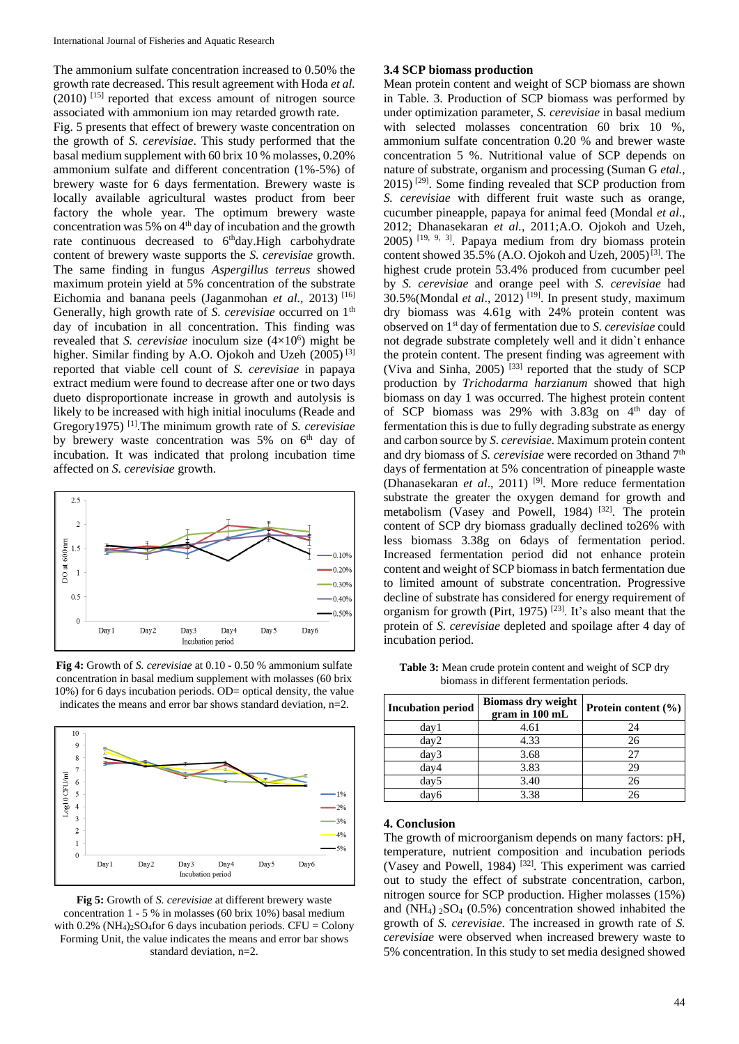The ammonium sulfate concentration increased to 0.50% the growth rate decreased. This result agreement with Hoda *et al.*  $(2010)$  [15] reported that excess amount of nitrogen source associated with ammonium ion may retarded growth rate.

Fig. 5 presents that effect of brewery waste concentration on the growth of *S. cerevisiae*. This study performed that the basal medium supplement with 60 brix 10 % molasses, 0.20% ammonium sulfate and different concentration (1%-5%) of brewery waste for 6 days fermentation. Brewery waste is locally available agricultural wastes product from beer factory the whole year. The optimum brewery waste concentration was 5% on  $4<sup>th</sup>$  day of incubation and the growth rate continuous decreased to 6<sup>th</sup>day. High carbohydrate content of brewery waste supports the *S. cerevisiae* growth. The same finding in fungus *Aspergillus terreus* showed maximum protein yield at 5% concentration of the substrate Eichomia and banana peels (Jaganmohan *et al.,* 2013) [16] Generally, high growth rate of *S. cerevisiae* occurred on 1<sup>th</sup> day of incubation in all concentration. This finding was revealed that *S. cerevisiae* inoculum size  $(4\times10^6)$  might be higher. Similar finding by A.O. Ojokoh and Uzeh (2005)<sup>[3]</sup> reported that viable cell count of *S. cerevisiae* in papaya extract medium were found to decrease after one or two days dueto disproportionate increase in growth and autolysis is likely to be increased with high initial inoculums (Reade and Gregory1975) [1].The minimum growth rate of *S. cerevisiae* by brewery waste concentration was  $5\%$  on  $6<sup>th</sup>$  day of incubation. It was indicated that prolong incubation time affected on *S. cerevisiae* growth.



**Fig 4:** Growth of *S. cerevisiae* at 0.10 - 0.50 % ammonium sulfate concentration in basal medium supplement with molasses (60 brix 10%) for 6 days incubation periods. OD= optical density, the value indicates the means and error bar shows standard deviation, n=2.



**Fig 5:** Growth of *S. cerevisiae* at different brewery waste concentration 1 - 5 % in molasses (60 brix 10%) basal medium with  $0.2\%$  (NH<sub>4</sub>)<sub>2</sub>SO<sub>4</sub>for 6 days incubation periods. CFU = Colony Forming Unit, the value indicates the means and error bar shows standard deviation, n=2.

#### **3.4 SCP biomass production**

Mean protein content and weight of SCP biomass are shown in Table. 3. Production of SCP biomass was performed by under optimization parameter, *S. cerevisiae* in basal medium with selected molasses concentration 60 brix 10 %, ammonium sulfate concentration 0.20 % and brewer waste concentration 5 %. Nutritional value of SCP depends on nature of substrate, organism and processing (Suman G *etal.,* 2015) [29]. Some finding revealed that SCP production from *S. cerevisiae* with different fruit waste such as orange, cucumber pineapple, papaya for animal feed (Mondal *et al*., 2012; Dhanasekaran *et al.,* 2011;A.O. Ojokoh and Uzeh, 2005) [19, 9, 3]. Papaya medium from dry biomass protein content showed 35.5% (A.O. Ojokoh and Uzeh, 2005)<sup>[3]</sup>. The highest crude protein 53.4% produced from cucumber peel by *S. cerevisiae* and orange peel with *S. cerevisiae* had 30.5%(Mondal *et al*., 2012) [19]. In present study, maximum dry biomass was 4.61g with 24% protein content was observed on 1st day of fermentation due to *S. cerevisiae* could not degrade substrate completely well and it didn`t enhance the protein content. The present finding was agreement with (Viva and Sinha, 2005)<sup>[33]</sup> reported that the study of SCP production by *Trichodarma harzianum* showed that high biomass on day 1 was occurred. The highest protein content of SCP biomass was 29% with 3.83g on 4<sup>th</sup> day of fermentation this is due to fully degrading substrate as energy and carbon source by *S. cerevisiae.* Maximum protein content and dry biomass of *S. cerevisiae* were recorded on 3thand 7<sup>th</sup> days of fermentation at 5% concentration of pineapple waste (Dhanasekaran *et al.*, 2011)<sup>[9]</sup>. More reduce fermentation substrate the greater the oxygen demand for growth and metabolism (Vasey and Powell, 1984)<sup>[32]</sup>. The protein content of SCP dry biomass gradually declined to26% with less biomass 3.38g on 6days of fermentation period. Increased fermentation period did not enhance protein content and weight of SCP biomass in batch fermentation due to limited amount of substrate concentration. Progressive decline of substrate has considered for energy requirement of organism for growth (Pirt, 1975)  $[23]$ . It's also meant that the protein of *S. cerevisiae* depleted and spoilage after 4 day of incubation period.

| Incubation period | <b>Biomass dry weight</b><br>gram in 100 mL | Protein content $(\% )$ |
|-------------------|---------------------------------------------|-------------------------|
| day1              | 4.61                                        | 24                      |
| day2              | 4.33                                        | 26                      |
| day3              | 3.68                                        | 27                      |
| day4              | 3.83                                        | 29                      |
| day <sub>5</sub>  | 3.40                                        | 26                      |
| day6              | 3.38                                        | 26                      |

**Table 3:** Mean crude protein content and weight of SCP dry biomass in different fermentation periods.

#### **4. Conclusion**

The growth of microorganism depends on many factors: pH, temperature, nutrient composition and incubation periods (Vasey and Powell, 1984)  $^{[32]}$ . This experiment was carried out to study the effect of substrate concentration, carbon, nitrogen source for SCP production. Higher molasses (15%) and  $(NH_4)$   $_2SO_4$   $(0.5\%)$  concentration showed inhabited the growth of *S. cerevisiae*. The increased in growth rate of *S. cerevisiae* were observed when increased brewery waste to 5% concentration. In this study to set media designed showed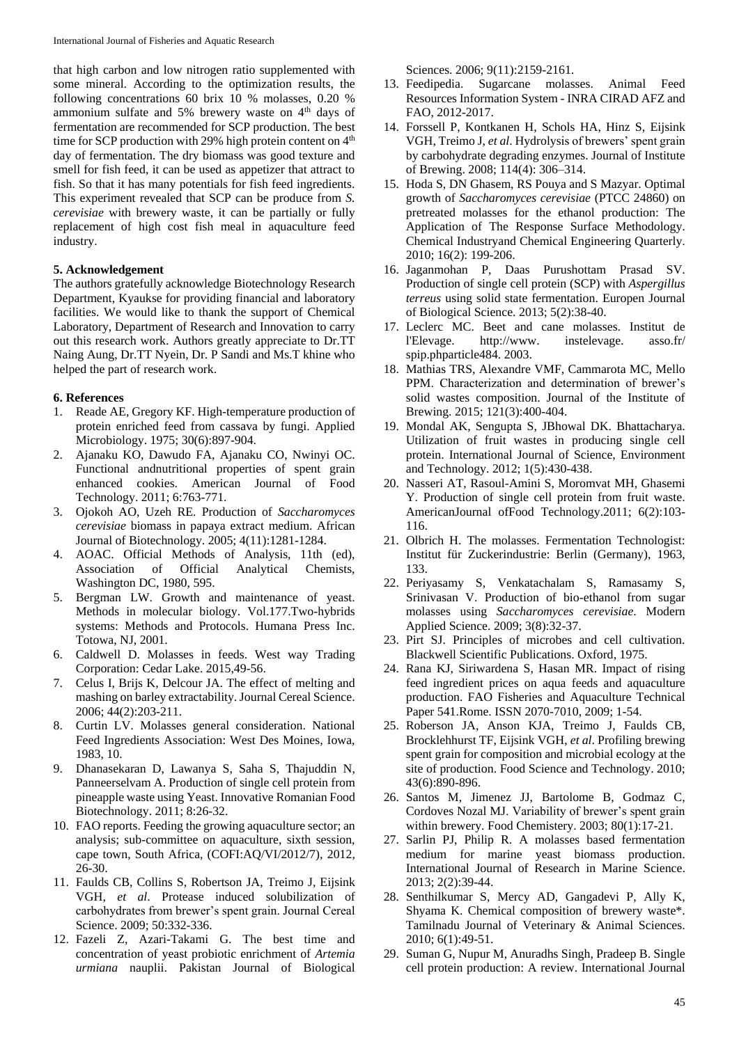that high carbon and low nitrogen ratio supplemented with some mineral. According to the optimization results, the following concentrations 60 brix 10 % molasses, 0.20 % ammonium sulfate and 5% brewery waste on 4<sup>th</sup> days of fermentation are recommended for SCP production. The best time for SCP production with 29% high protein content on 4<sup>th</sup> day of fermentation. The dry biomass was good texture and smell for fish feed, it can be used as appetizer that attract to fish. So that it has many potentials for fish feed ingredients. This experiment revealed that SCP can be produce from *S. cerevisiae* with brewery waste, it can be partially or fully replacement of high cost fish meal in aquaculture feed industry.

### **5. Acknowledgement**

The authors gratefully acknowledge Biotechnology Research Department, Kyaukse for providing financial and laboratory facilities. We would like to thank the support of Chemical Laboratory, Department of Research and Innovation to carry out this research work. Authors greatly appreciate to Dr.TT Naing Aung, Dr.TT Nyein, Dr. P Sandi and Ms.T khine who helped the part of research work.

### **6. References**

- 1. Reade AE, Gregory KF. High-temperature production of protein enriched feed from cassava by fungi. Applied Microbiology. 1975; 30(6):897-904.
- 2. Ajanaku KO, Dawudo FA, Ajanaku CO, Nwinyi OC. Functional andnutritional properties of spent grain enhanced cookies. American Journal of Food Technology. 2011; 6:763-771.
- 3. Ojokoh AO, Uzeh RE. Production of *Saccharomyces cerevisiae* biomass in papaya extract medium. African Journal of Biotechnology. 2005; 4(11):1281-1284.
- 4. AOAC. Official Methods of Analysis, 11th (ed), Association of Official Analytical Chemists, Washington DC, 1980, 595.
- 5. Bergman LW. Growth and maintenance of yeast. Methods in molecular biology. Vol.177.Two-hybrids systems: Methods and Protocols. Humana Press Inc. Totowa, NJ, 2001.
- 6. Caldwell D. Molasses in feeds. West way Trading Corporation: Cedar Lake. 2015,49-56.
- 7. Celus I, Brijs K, Delcour JA. The effect of melting and mashing on barley extractability. Journal Cereal Science. 2006; 44(2):203-211.
- 8. Curtin LV. Molasses general consideration. National Feed Ingredients Association: West Des Moines, Iowa, 1983, 10.
- 9. Dhanasekaran D, Lawanya S, Saha S, Thajuddin N, Panneerselvam A. Production of single cell protein from pineapple waste using Yeast. Innovative Romanian Food Biotechnology. 2011; 8:26-32.
- 10. FAO reports. Feeding the growing aquaculture sector; an analysis; sub-committee on aquaculture, sixth session, cape town, South Africa, (COFI:AQ/VI/2012/7), 2012, 26-30.
- 11. Faulds CB, Collins S, Robertson JA, Treimo J, Eijsink VGH, *et al*. Protease induced solubilization of carbohydrates from brewer's spent grain. Journal Cereal Science. 2009; 50:332-336.
- 12. Fazeli Z, Azari-Takami G. The best time and concentration of yeast probiotic enrichment of *Artemia urmiana* nauplii. Pakistan Journal of Biological

Sciences. 2006; 9(11):2159-2161.

- 13. Feedipedia. Sugarcane molasses. Animal Feed Resources Information System - INRA CIRAD AFZ and FAO, 2012-2017.
- 14. Forssell P, Kontkanen H, Schols HA, Hinz S, Eijsink VGH, Treimo J, *et al*. Hydrolysis of brewers' spent grain by carbohydrate degrading enzymes. Journal of Institute of Brewing. 2008; 114(4): 306–314.
- 15. Hoda S, DN Ghasem, RS Pouya and S Mazyar. Optimal growth of *Saccharomyces cerevisiae* (PTCC 24860) on pretreated molasses for the ethanol production: The Application of The Response Surface Methodology. Chemical Industryand Chemical Engineering Quarterly. 2010; 16(2): 199-206.
- 16. Jaganmohan P, Daas Purushottam Prasad SV. Production of single cell protein (SCP) with *Aspergillus terreus* using solid state fermentation. Europen Journal of Biological Science. 2013; 5(2):38-40.
- 17. Leclerc MC. Beet and cane molasses. Institut de l'Elevage. http://www. instelevage. asso.fr/ spip.phparticle484. 2003.
- 18. Mathias TRS, Alexandre VMF, Cammarota MC, Mello PPM. Characterization and determination of brewer's solid wastes composition. Journal of the Institute of Brewing. 2015; 121(3):400-404.
- 19. Mondal AK, Sengupta S, JBhowal DK. Bhattacharya. Utilization of fruit wastes in producing single cell protein. International Journal of Science, Environment and Technology. 2012; 1(5):430-438.
- 20. Nasseri AT, Rasoul-Amini S, Moromvat MH, Ghasemi Y. Production of single cell protein from fruit waste. AmericanJournal ofFood Technology.2011; 6(2):103- 116.
- 21. Olbrich H. The molasses. Fermentation Technologist: Institut für Zuckerindustrie: Berlin (Germany), 1963, 133.
- 22. Periyasamy S, Venkatachalam S, Ramasamy S, Srinivasan V. Production of bio-ethanol from sugar molasses using *Saccharomyces cerevisiae*. Modern Applied Science. 2009; 3(8):32-37.
- 23. Pirt SJ. Principles of microbes and cell cultivation. Blackwell Scientific Publications. Oxford, 1975.
- 24. Rana KJ, Siriwardena S, Hasan MR. Impact of rising feed ingredient prices on aqua feeds and aquaculture production. FAO Fisheries and Aquaculture Technical Paper 541.Rome. ISSN 2070-7010, 2009; 1-54.
- 25. Roberson JA, Anson KJA, Treimo J, Faulds CB, Brocklehhurst TF, Eijsink VGH, *et al*. Profiling brewing spent grain for composition and microbial ecology at the site of production. Food Science and Technology. 2010; 43(6):890-896.
- 26. Santos M, Jimenez JJ, Bartolome B, Godmaz C, Cordoves Nozal MJ. Variability of brewer's spent grain within brewery. Food Chemistery. 2003; 80(1):17-21.
- 27. Sarlin PJ, Philip R. A molasses based fermentation medium for marine yeast biomass production. International Journal of Research in Marine Science. 2013; 2(2):39-44.
- 28. Senthilkumar S, Mercy AD, Gangadevi P, Ally K, Shyama K. Chemical composition of brewery waste\*. Tamilnadu Journal of Veterinary & Animal Sciences. 2010; 6(1):49-51.
- 29. Suman G, Nupur M, Anuradhs Singh, Pradeep B. Single cell protein production: A review. International Journal